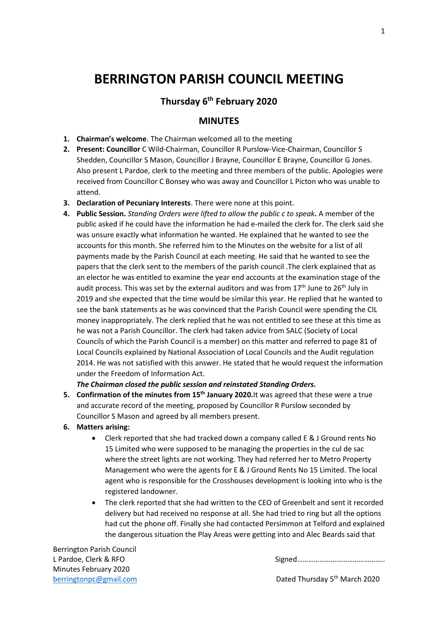# **BERRINGTON PARISH COUNCIL MEETING**

# **Thursday 6th February 2020**

# **MINUTES**

- **1. Chairman's welcome**. The Chairman welcomed all to the meeting
- **2. Present: Councillor** C Wild-Chairman, Councillor R Purslow-Vice-Chairman, Councillor S Shedden, Councillor S Mason, Councillor J Brayne, Councillor E Brayne, Councillor G Jones. Also present L Pardoe, clerk to the meeting and three members of the public. Apologies were received from Councillor C Bonsey who was away and Councillor L Picton who was unable to attend.
- **3. Declaration of Pecuniary Interests**. There were none at this point.
- **4. Public Session.** *Standing Orders were lifted to allow the public c to speak***.** A member of the public asked if he could have the information he had e-mailed the clerk for. The clerk said she was unsure exactly what information he wanted. He explained that he wanted to see the accounts for this month. She referred him to the Minutes on the website for a list of all payments made by the Parish Council at each meeting. He said that he wanted to see the papers that the clerk sent to the members of the parish council .The clerk explained that as an elector he was entitled to examine the year end accounts at the examination stage of the audit process. This was set by the external auditors and was from  $17<sup>th</sup>$  June to  $26<sup>th</sup>$  July in 2019 and she expected that the time would be similar this year. He replied that he wanted to see the bank statements as he was convinced that the Parish Council were spending the CIL money inappropriately. The clerk replied that he was not entitled to see these at this time as he was not a Parish Councillor. The clerk had taken advice from SALC (Society of Local Councils of which the Parish Council is a member) on this matter and referred to page 81 of Local Councils explained by National Association of Local Councils and the Audit regulation 2014. He was not satisfied with this answer. He stated that he would request the information under the Freedom of Information Act.

#### *The Chairman closed the public session and reinstated Standing Orders.*

- **5. Confirmation of the minutes from 15th January 2020.**It was agreed that these were a true and accurate record of the meeting, proposed by Councillor R Purslow seconded by Councillor S Mason and agreed by all members present.
- **6. Matters arising:** 
	- Clerk reported that she had tracked down a company called E & J Ground rents No 15 Limited who were supposed to be managing the properties in the cul de sac where the street lights are not working. They had referred her to Metro Property Management who were the agents for E & J Ground Rents No 15 Limited. The local agent who is responsible for the Crosshouses development is looking into who is the registered landowner.
	- The clerk reported that she had written to the CEO of Greenbelt and sent it recorded delivery but had received no response at all. She had tried to ring but all the options had cut the phone off. Finally she had contacted Persimmon at Telford and explained the dangerous situation the Play Areas were getting into and Alec Beards said that

Berrington Parish Council Minutes February 2020

L Pardoe, Clerk & RFO Signed 2008 Signed 2008 Signed 2008 Signed 2008 Signed 2008 Signed 2008 Signed 2008 Signed 2008 Signed 2008 Signed 2008 Signed 2008 Signed 2008 Signed 2008 Signed 2008 Signed 2008 Signed 2008 Signed 2

[berringtonpc@gmail.com](mailto:berringtonpc@gmail.com) **Dated Thursday 5<sup>th</sup> March 2020**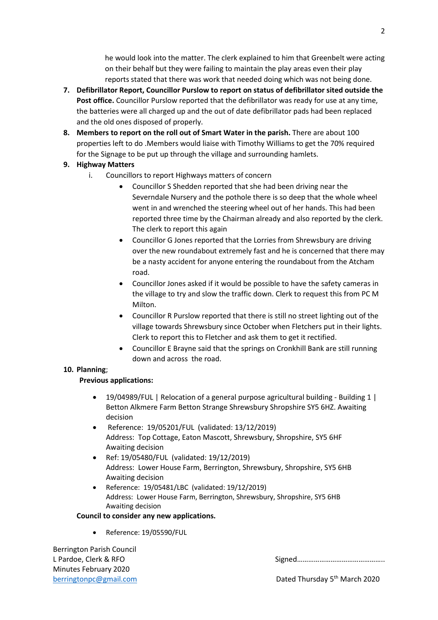he would look into the matter. The clerk explained to him that Greenbelt were acting on their behalf but they were failing to maintain the play areas even their play reports stated that there was work that needed doing which was not being done.

- **7. Defibrillator Report, Councillor Purslow to report on status of defibrillator sited outside the Post office.** Councillor Purslow reported that the defibrillator was ready for use at any time, the batteries were all charged up and the out of date defibrillator pads had been replaced and the old ones disposed of properly.
- **8. Members to report on the roll out of Smart Water in the parish.** There are about 100 properties left to do .Members would liaise with Timothy Williams to get the 70% required for the Signage to be put up through the village and surrounding hamlets.

# **9. Highway Matters**

- i. Councillors to report Highways matters of concern
	- Councillor S Shedden reported that she had been driving near the Severndale Nursery and the pothole there is so deep that the whole wheel went in and wrenched the steering wheel out of her hands. This had been reported three time by the Chairman already and also reported by the clerk. The clerk to report this again
	- Councillor G Jones reported that the Lorries from Shrewsbury are driving over the new roundabout extremely fast and he is concerned that there may be a nasty accident for anyone entering the roundabout from the Atcham road.
	- Councillor Jones asked if it would be possible to have the safety cameras in the village to try and slow the traffic down. Clerk to request this from PC M Milton.
	- Councillor R Purslow reported that there is still no street lighting out of the village towards Shrewsbury since October when Fletchers put in their lights. Clerk to report this to Fletcher and ask them to get it rectified.
	- Councillor E Brayne said that the springs on Cronkhill Bank are still running down and across the road.

## **10. Planning**;

## **Previous applications:**

- 19/04989/FUL | Relocation of a general purpose agricultural building Building 1 | Betton Alkmere Farm Betton Strange Shrewsbury Shropshire SY5 6HZ. Awaiting decision
- Reference: 19/05201/FUL (validated: 13/12/2019) Address: Top Cottage, Eaton Mascott, Shrewsbury, Shropshire, SY5 6HF Awaiting decision
- Ref: 19/05480/FUL (validated: 19/12/2019) Address: Lower House Farm, Berrington, Shrewsbury, Shropshire, SY5 6HB Awaiting decision
- Reference: 19/05481/LBC (validated: 19/12/2019) Address: Lower House Farm, Berrington, Shrewsbury, Shropshire, SY5 6HB Awaiting decision

#### **Council to consider any new applications.**

● Reference: 19/05590/FUL

Berrington Parish Council Minutes February 2020

L Pardoe, Clerk & RFO **Signed** and Signed and Signed and Signed and Signed and Signed and Signed and Signed and Signed and Signed and Signed and Signed and Signed and Signed and Signed and Signed and Signed and Signed and

[berringtonpc@gmail.com](mailto:berringtonpc@gmail.com) **Dated Thursday 5<sup>th</sup> March 2020**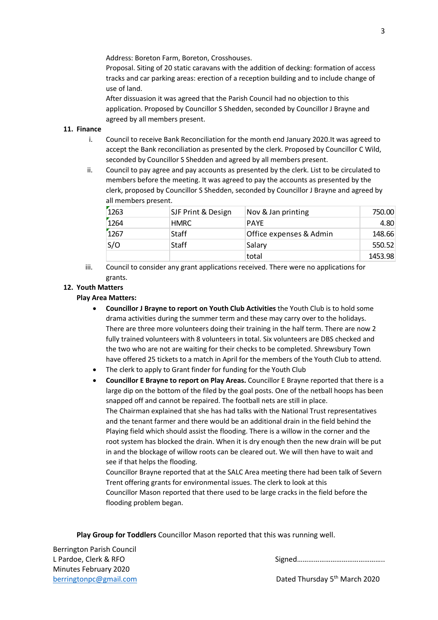Address: Boreton Farm, Boreton, Crosshouses.

Proposal. Siting of 20 static caravans with the addition of decking: formation of access tracks and car parking areas: erection of a reception building and to include change of use of land.

After dissuasion it was agreed that the Parish Council had no objection to this application. Proposed by Councillor S Shedden, seconded by Councillor J Brayne and agreed by all members present.

#### **11. Finance**

- i. Council to receive Bank Reconciliation for the month end January 2020.It was agreed to accept the Bank reconciliation as presented by the clerk. Proposed by Councillor C Wild, seconded by Councillor S Shedden and agreed by all members present.
- ii. Council to pay agree and pay accounts as presented by the clerk. List to be circulated to members before the meeting. It was agreed to pay the accounts as presented by the clerk, proposed by Councillor S Shedden, seconded by Councillor J Brayne and agreed by all members present.

| 1263 | SJF Print & Design | Nov & Jan printing      | 750.00  |
|------|--------------------|-------------------------|---------|
| 1264 | <b>HMRC</b>        | <b>PAYE</b>             | 4.80    |
| 1267 | Staff              |                         |         |
|      |                    | Office expenses & Admin | 148.66  |
| S/O  | <b>Staff</b>       | Salary                  | 550.52  |
|      |                    | total                   | 1453.98 |

iii. Council to consider any grant applications received. There were no applications for grants.

#### **12. Youth Matters**

#### **Play Area Matters:**

- **Councillor J Brayne to report on Youth Club Activities** the Youth Club is to hold some drama activities during the summer term and these may carry over to the holidays. There are three more volunteers doing their training in the half term. There are now 2 fully trained volunteers with 8 volunteers in total. Six volunteers are DBS checked and the two who are not are waiting for their checks to be completed. Shrewsbury Town have offered 25 tickets to a match in April for the members of the Youth Club to attend.
- The clerk to apply to Grant finder for funding for the Youth Club
- **Councillor E Brayne to report on Play Areas.** Councillor E Brayne reported that there is a large dip on the bottom of the filed by the goal posts. One of the netball hoops has been snapped off and cannot be repaired. The football nets are still in place. The Chairman explained that she has had talks with the National Trust representatives and the tenant farmer and there would be an additional drain in the field behind the Playing field which should assist the flooding. There is a willow in the corner and the root system has blocked the drain. When it is dry enough then the new drain will be put in and the blockage of willow roots can be cleared out. We will then have to wait and see if that helps the flooding. Councillor Brayne reported that at the SALC Area meeting there had been talk of Severn
	- Trent offering grants for environmental issues. The clerk to look at this Councillor Mason reported that there used to be large cracks in the field before the flooding problem began.

**Play Group for Toddlers** Councillor Mason reported that this was running well.

Berrington Parish Council Minutes February 2020

## L Pardoe, Clerk & RFO Signed 2008 Signed 2008 Signed 2008 Signed 2008 Signed 2008 Signed 2008 Signed 2008 Signed 2008 Signed 2008 Signed 2008 Signed 2008 Signed 2008 Signed 2008 Signed 2008 Signed 2008 Signed 2008 Signed 2

[berringtonpc@gmail.com](mailto:berringtonpc@gmail.com) **Dated Thursday 5<sup>th</sup> March 2020**